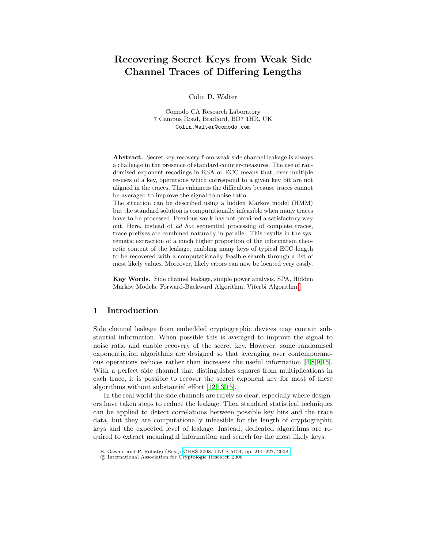# Recovering Secret Keys from Weak Side Channel Traces of Differing Lengths

Colin D. Walter

Comodo CA Research Laboratory 7 Campus Road, Bradford, BD7 1HR, UK Colin.Walter@comodo.com

Abstract. Secret key recovery from weak side channel leakage is always a challenge in the presence of standard counter-measures. The use of randomised exponent recodings in RSA or ECC means that, over multiple re-uses of a key, operations which correspond to a given key bit are not aligned in the traces. This enhances the difficulties because traces cannot be averaged to improve the signal-to-noise ratio.

The situation can be described using a hidden Markov model (HMM) but the standard solution is computationally infeasible when many traces have to be processed. Previous work has not provided a satisfactory way out. Here, instead of ad hoc sequential processing of complete traces, trace prefixes are combined naturally in parallel. This results in the systematic extraction of a much higher proportion of the information theoretic content of the leakage, enabling many keys of typical ECC length to be recovered with a computationally feasible search through a list of most likely values. Moreover, likely errors can now be located very easily.

Key Words. Side channel leakage, simple power analysis, SPA, Hidden Markov Models, Forward-Backward Algorithm, Viterbi Algorithm[.](#page-0-0)

### 1 Introduction

Side channel leakage from embedded cryptographic devices may contain substantial information. When possible this is averaged to improve the signal to noise ratio and enable recovery of the secret key. However, some randomised exponentiation algorithms are designed so that averaging over contemporaneous operations reduces rather than increases the useful information [\[4,](#page-11-0)[8,](#page-11-1)[9,](#page-11-2)[15\]](#page-11-3). With a perfect side channel that distinguishes squares from multiplications in each trace, it is possible to recover the secret exponent key for most of these algorithms without substantial effort [\[12,](#page-11-4)[13,](#page-11-5)[15\]](#page-11-3).

In the real world the side channels are rarely so clear, especially where designers have taken steps to reduce the leakage. Then standard statistical techniques can be applied to detect correlations between possible key bits and the trace data, but they are computationally infeasible for the length of cryptographic keys and the expected level of leakage. Instead, dedicated algorithms are required to extract meaningful information and search for the most likely keys.

<span id="page-0-0"></span>E. Oswald and P. Rohatgi (Eds.): [CHES 2008, LNCS 5154, pp. 214–227, 2008.](http://www.springerlink.com/index/0172376652133145.pdf)

c International Association for Cryptologic Research 2008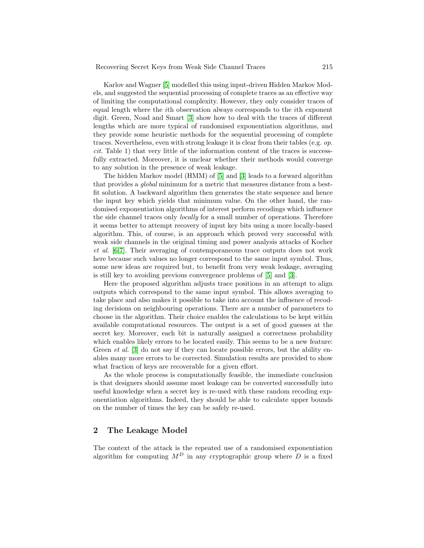Karlov and Wagner [\[5\]](#page-11-6) modelled this using input-driven Hidden Markov Models, and suggested the sequential processing of complete traces as an effective way of limiting the computational complexity. However, they only consider traces of equal length where the ith observation always corresponds to the ith exponent digit. Green, Noad and Smart [\[3\]](#page-11-7) show how to deal with the traces of different lengths which are more typical of randomised exponentiation algorithms, and they provide some heuristic methods for the sequential processing of complete traces. Nevertheless, even with strong leakage it is clear from their tables (e.g. op. cit. Table 1) that very little of the information content of the traces is successfully extracted. Moreover, it is unclear whether their methods would converge to any solution in the presence of weak leakage.

The hidden Markov model (HMM) of [\[5\]](#page-11-6) and [\[3\]](#page-11-7) leads to a forward algorithm that provides a global minimum for a metric that measures distance from a bestfit solution. A backward algorithm then generates the state sequence and hence the input key which yields that minimum value. On the other hand, the randomised exponentiation algorithms of interest perform recodings which influence the side channel traces only locally for a small number of operations. Therefore it seems better to attempt recovery of input key bits using a more locally-based algorithm. This, of course, is an approach which proved very successful with weak side channels in the original timing and power analysis attacks of Kocher et al. [\[6,](#page-11-8)[7\]](#page-11-9). Their averaging of contemporaneous trace outputs does not work here because such values no longer correspond to the same input symbol. Thus, some new ideas are required but, to benefit from very weak leakage, averaging is still key to avoiding previous convergence problems of [\[5\]](#page-11-6) and [\[3\]](#page-11-7).

Here the proposed algorithm adjusts trace positions in an attempt to align outputs which correspond to the same input symbol. This allows averaging to take place and also makes it possible to take into account the influence of recoding decisions on neighbouring operations. There are a number of parameters to choose in the algorithm. Their choice enables the calculations to be kept within available computational resources. The output is a set of good guesses at the secret key. Moreover, each bit is naturally assigned a correctness probability which enables likely errors to be located easily. This seems to be a new feature: Green *et al.* [\[3\]](#page-11-7) do not say if they can locate possible errors, but the ability enables many more errors to be corrected. Simulation results are provided to show what fraction of keys are recoverable for a given effort.

As the whole process is computationally feasible, the immediate conclusion is that designers should assume most leakage can be converted successfully into useful knowledge when a secret key is re-used with these random recoding exponentiation algorithms. Indeed, they should be able to calculate upper bounds on the number of times the key can be safely re-used.

## 2 The Leakage Model

The context of the attack is the repeated use of a randomised exponentiation algorithm for computing  $M^D$  in any cryptographic group where D is a fixed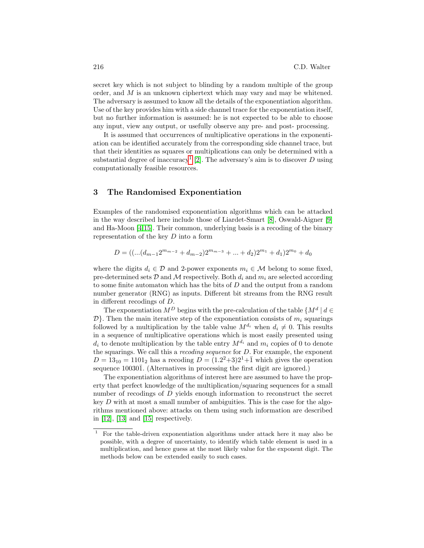secret key which is not subject to blinding by a random multiple of the group order, and M is an unknown ciphertext which may vary and may be whitened. The adversary is assumed to know all the details of the exponentiation algorithm. Use of the key provides him with a side channel trace for the exponentiation itself, but no further information is assumed: he is not expected to be able to choose any input, view any output, or usefully observe any pre- and post- processing.

It is assumed that occurrences of multiplicative operations in the exponentiation can be identified accurately from the corresponding side channel trace, but that their identities as squares or multiplications can only be determined with a substantial degree of inaccuracy<sup>[1](#page-2-0)</sup> [\[2\]](#page-10-0). The adversary's aim is to discover  $D$  using computationally feasible resources.

# 3 The Randomised Exponentiation

Examples of the randomised exponentiation algorithms which can be attacked in the way described here include those of Liardet-Smart [\[8\]](#page-11-1), Oswald-Aigner [\[9\]](#page-11-2) and Ha-Moon [\[4,](#page-11-0)[15\]](#page-11-3). Their common, underlying basis is a recoding of the binary representation of the key D into a form

$$
D = \left( \dots \left( d_{m-1} 2^{m_{m-2}} + d_{m-2} \right) 2^{m_{m-3}} + \dots + d_2 \right) 2^{m_1} + d_1 \right) 2^{m_0} + d_0
$$

where the digits  $d_i \in \mathcal{D}$  and 2-power exponents  $m_i \in \mathcal{M}$  belong to some fixed, pre-determined sets  $\mathcal D$  and  $\mathcal M$  respectively. Both  $d_i$  and  $m_i$  are selected according to some finite automaton which has the bits of  $D$  and the output from a random number generator (RNG) as inputs. Different bit streams from the RNG result in different recodings of D.

The exponentiation  $M^D$  begins with the pre-calculation of the table  $\{M^d \mid d \in$  $\mathcal{D}$ . Then the main iterative step of the exponentiation consists of  $m_i$  squarings followed by a multiplication by the table value  $M^{d_i}$  when  $d_i \neq 0$ . This results in a sequence of multiplicative operations which is most easily presented using  $d_i$  to denote multiplication by the table entry  $M^{d_i}$  and  $m_i$  copies of 0 to denote the squarings. We call this a recoding sequence for D. For example, the exponent  $D = 13_{10} = 1101_2$  has a recoding  $D = (1.2^2 + 3)2^1 + \overline{1}$  which gives the operation sequence  $10030\overline{1}$ . (Alternatives in processing the first digit are ignored.)

The exponentiation algorithms of interest here are assumed to have the property that perfect knowledge of the multiplication/squaring sequences for a small number of recodings of D yields enough information to reconstruct the secret key  $D$  with at most a small number of ambiguities. This is the case for the algorithms mentioned above: attacks on them using such information are described in [\[12\]](#page-11-4), [\[13\]](#page-11-5) and [\[15\]](#page-11-3) respectively.

<span id="page-2-0"></span><sup>1</sup> For the table-driven exponentiation algorithms under attack here it may also be possible, with a degree of uncertainty, to identify which table element is used in a multiplication, and hence guess at the most likely value for the exponent digit. The methods below can be extended easily to such cases.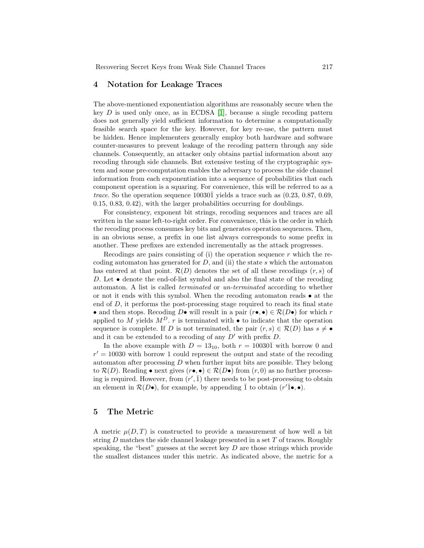#### 4 Notation for Leakage Traces

The above-mentioned exponentiation algorithms are reasonably secure when the key  $D$  is used only once, as in ECDSA [\[1\]](#page-10-1), because a single recoding pattern does not generally yield sufficient information to determine a computationally feasible search space for the key. However, for key re-use, the pattern must be hidden. Hence implementers generally employ both hardware and software counter-measures to prevent leakage of the recoding pattern through any side channels. Consequently, an attacker only obtains partial information about any recoding through side channels. But extensive testing of the cryptographic system and some pre-computation enables the adversary to process the side channel information from each exponentiation into a sequence of probabilities that each component operation is a squaring. For convenience, this will be referred to as a trace. So the operation sequence  $100301$  yields a trace such as  $(0.23, 0.87, 0.69, ...)$ 0.15, 0.83, 0.42), with the larger probabilities occurring for doublings.

For consistency, exponent bit strings, recoding sequences and traces are all written in the same left-to-right order. For convenience, this is the order in which the recoding process consumes key bits and generates operation sequences. Then, in an obvious sense, a prefix in one list always corresponds to some prefix in another. These prefixes are extended incrementally as the attack progresses.

Recodings are pairs consisting of (i) the operation sequence  $r$  which the recoding automaton has generated for  $D$ , and (ii) the state  $s$  which the automaton has entered at that point.  $\mathcal{R}(D)$  denotes the set of all these recodings  $(r, s)$  of D. Let • denote the end-of-list symbol and also the final state of the recoding automaton. A list is called terminated or un-terminated according to whether or not it ends with this symbol. When the recoding automaton reads • at the end of D, it performs the post-processing stage required to reach its final state • and then stops. Recoding  $D\bullet$  will result in a pair  $(r\bullet,\bullet) \in \mathcal{R}(D\bullet)$  for which r applied to M yields  $M^D$ . r is terminated with  $\bullet$  to indicate that the operation sequence is complete. If D is not terminated, the pair  $(r, s) \in \mathcal{R}(D)$  has  $s \neq \bullet$ and it can be extended to a recoding of any  $D'$  with prefix  $D$ .

In the above example with  $D = 13_{10}$ , both  $r = 10030\overline{1}$  with borrow 0 and  $r' = 10030$  with borrow 1 could represent the output and state of the recoding automaton after processing  $D$  when further input bits are possible. They belong to  $\mathcal{R}(D)$ . Reading • next gives  $(r \bullet, \bullet) \in \mathcal{R}(D \bullet)$  from  $(r, 0)$  as no further processing is required. However, from  $(r', \bar{1})$  there needs to be post-processing to obtain an element in  $\mathcal{R}(D\bullet)$ , for example, by appending  $\bar{1}$  to obtain  $(r'\bar{1}\bullet,\bullet)$ .

## <span id="page-3-0"></span>5 The Metric

A metric  $\mu(D,T)$  is constructed to provide a measurement of how well a bit string  $D$  matches the side channel leakage presented in a set  $T$  of traces. Roughly speaking, the "best" guesses at the secret key  $D$  are those strings which provide the smallest distances under this metric. As indicated above, the metric for a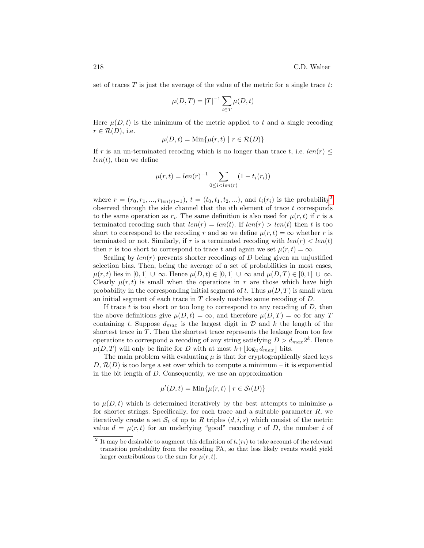set of traces  $T$  is just the average of the value of the metric for a single trace  $t$ :

$$
\mu(D,T)=|T|^{-1}\sum_{t\in T}\mu(D,t)
$$

Here  $\mu(D, t)$  is the minimum of the metric applied to t and a single recoding  $r \in \mathcal{R}(D)$ , i.e.

$$
\mu(D, t) = \min\{\mu(r, t) \mid r \in \mathcal{R}(D)\}
$$

If r is an un-terminated recoding which is no longer than trace t, i.e.  $len(r)$  $len(t)$ , then we define

$$
\mu(r,t) = len(r)^{-1} \sum_{0 \le i < len(r)} (1 - t_i(r_i))
$$

where  $r = (r_0, r_1, ..., r_{len(r)-1}), t = (t_0, t_1, t_2, ...)$  $r = (r_0, r_1, ..., r_{len(r)-1}), t = (t_0, t_1, t_2, ...)$  $r = (r_0, r_1, ..., r_{len(r)-1}), t = (t_0, t_1, t_2, ...)$ , and  $t_i(r_i)$  is the probability<sup>2</sup> observed through the side channel that the  $i$ th element of trace  $t$  corresponds to the same operation as  $r_i$ . The same definition is also used for  $\mu(r,t)$  if r is a terminated recoding such that  $len(r) = len(t)$ . If  $len(r) > len(t)$  then t is too short to correspond to the recoding r and so we define  $\mu(r, t) = \infty$  whether r is terminated or not. Similarly, if r is a terminated recoding with  $len(r) < len(t)$ then r is too short to correspond to trace t and again we set  $\mu(r, t) = \infty$ .

Scaling by  $len(r)$  prevents shorter recodings of D being given an unjustified selection bias. Then, being the average of a set of probabilities in most cases,  $\mu(r, t)$  lies in  $[0, 1] \cup \infty$ . Hence  $\mu(D, t) \in [0, 1] \cup \infty$  and  $\mu(D, T) \in [0, 1] \cup \infty$ . Clearly  $\mu(r, t)$  is small when the operations in r are those which have high probability in the corresponding initial segment of t. Thus  $\mu(D, T)$  is small when an initial segment of each trace in T closely matches some recoding of D.

If trace  $t$  is too short or too long to correspond to any recoding of  $D$ , then the above definitions give  $\mu(D, t) = \infty$ , and therefore  $\mu(D, T) = \infty$  for any T containing t. Suppose  $d_{max}$  is the largest digit in  $\mathcal D$  and k the length of the shortest trace in  $T$ . Then the shortest trace represents the leakage from too few operations to correspond a recoding of any string satisfying  $D > d_{max} 2^k$ . Hence  $\mu(D,T)$  will only be finite for D with at most  $k+|\log_2 d_{max}|$  bits.

The main problem with evaluating  $\mu$  is that for cryptographically sized keys D,  $\mathcal{R}(D)$  is too large a set over which to compute a minimum – it is exponential in the bit length of D. Consequently, we use an approximation

$$
\mu'(D, t) = \text{Min}\{\mu(r, t) \mid r \in \mathcal{S}_t(D)\}
$$

to  $\mu(D, t)$  which is determined iteratively by the best attempts to minimise  $\mu$ for shorter strings. Specifically, for each trace and a suitable parameter  $R$ , we iteratively create a set  $\mathcal{S}_t$  of up to R triples  $(d, i, s)$  which consist of the metric value  $d = \mu(r, t)$  for an underlying "good" recoding r of D, the number i of

<span id="page-4-0"></span><sup>&</sup>lt;sup>2</sup> It may be desirable to augment this definition of  $t_i(r_i)$  to take account of the relevant transition probability from the recoding FA, so that less likely events would yield larger contributions to the sum for  $\mu(r, t)$ .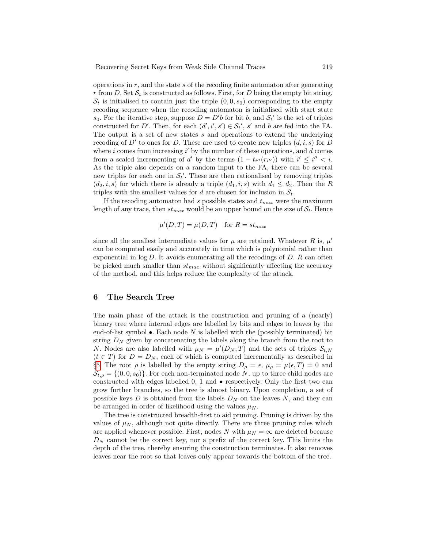operations in  $r$ , and the state  $s$  of the recoding finite automaton after generating r from D. Set  $S_t$  is constructed as follows. First, for D being the empty bit string,  $\mathcal{S}_t$  is initialised to contain just the triple  $(0, 0, s_0)$  corresponding to the empty recoding sequence when the recoding automaton is initialised with start state  $s_0$ . For the iterative step, suppose  $D = D'b$  for bit b, and  $S_t'$  is the set of triples constructed for D'. Then, for each  $(d', i', s') \in S_t'$ , s' and b are fed into the FA. The output is a set of new states s and operations to extend the underlying recoding of  $D'$  to ones for D. These are used to create new triples  $(d, i, s)$  for D where  $i$  comes from increasing  $i'$  by the number of these operations, and  $d$  comes from a scaled incrementing of d' by the terms  $(1 - t_{i''}(r_{i''}))$  with  $i' \leq i'' < i$ . As the triple also depends on a random input to the FA, there can be several new triples for each one in  $\mathcal{S}_t'$ . These are then rationalised by removing triples  $(d_2, i, s)$  for which there is already a triple  $(d_1, i, s)$  with  $d_1 \leq d_2$ . Then the R triples with the smallest values for d are chosen for inclusion in  $S_t$ .

If the recoding automaton had s possible states and  $t_{max}$  were the maximum length of any trace, then  $st_{max}$  would be an upper bound on the size of  $S_t$ . Hence

$$
\mu'(D,T) = \mu(D,T) \quad \text{for } R = st_{max}
$$

since all the smallest intermediate values for  $\mu$  are retained. Whatever R is,  $\mu'$ can be computed easily and accurately in time which is polynomial rather than exponential in  $\log D$ . It avoids enumerating all the recodings of D. R can often be picked much smaller than  $st_{max}$  without significantly affecting the accuracy of the method, and this helps reduce the complexity of the attack.

## 6 The Search Tree

The main phase of the attack is the construction and pruning of a (nearly) binary tree where internal edges are labelled by bits and edges to leaves by the end-of-list symbol  $\bullet$ . Each node N is labelled with the (possibly terminated) bit string  $D<sub>N</sub>$  given by concatenating the labels along the branch from the root to N. Nodes are also labelled with  $\mu_N = \mu'(D_N, T)$  and the sets of triples  $\mathcal{S}_{t,N}$  $(t \in T)$  for  $D = D_N$ , each of which is computed incrementally as described in §[5.](#page-3-0) The root  $\rho$  is labelled by the empty string  $D_{\rho} = \epsilon$ ,  $\mu_{\rho} = \mu(\epsilon, T) = 0$  and  $\mathcal{S}_{t,o} = \{(0,0,s_0)\}\.$  For each non-terminated node N, up to three child nodes are constructed with edges labelled  $0, 1$  and  $\bullet$  respectively. Only the first two can grow further branches, so the tree is almost binary. Upon completion, a set of possible keys  $D$  is obtained from the labels  $D<sub>N</sub>$  on the leaves  $N$ , and they can be arranged in order of likelihood using the values  $\mu_N$ .

The tree is constructed breadth-first to aid pruning. Pruning is driven by the values of  $\mu_N$ , although not quite directly. There are three pruning rules which are applied whenever possible. First, nodes N with  $\mu_N = \infty$  are deleted because  $D_N$  cannot be the correct key, nor a prefix of the correct key. This limits the depth of the tree, thereby ensuring the construction terminates. It also removes leaves near the root so that leaves only appear towards the bottom of the tree.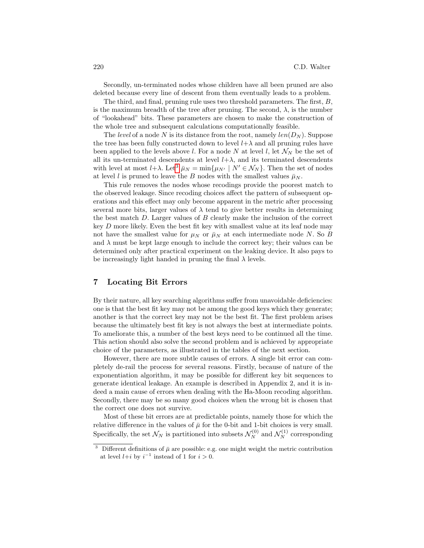Secondly, un-terminated nodes whose children have all been pruned are also deleted because every line of descent from them eventually leads to a problem.

The third, and final, pruning rule uses two threshold parameters. The first, B, is the maximum breadth of the tree after pruning. The second,  $\lambda$ , is the number of "lookahead" bits. These parameters are chosen to make the construction of the whole tree and subsequent calculations computationally feasible.

The level of a node N is its distance from the root, namely  $len(D_N)$ . Suppose the tree has been fully constructed down to level  $l+\lambda$  and all pruning rules have been applied to the levels above l. For a node N at level l, let  $\mathcal{N}_N$  be the set of all its un-terminated descendents at level  $l+\lambda$ , and its terminated descendents with level at most  $l+\lambda$ . Let<sup>[3](#page-6-0)</sup>  $\bar{\mu}_N = \min\{\mu_{N'} \mid N' \in \mathcal{N}_N\}$ . Then the set of nodes at level l is pruned to leave the B nodes with the smallest values  $\bar{\mu}_N$ .

This rule removes the nodes whose recodings provide the poorest match to the observed leakage. Since recoding choices affect the pattern of subsequent operations and this effect may only become apparent in the metric after processing several more bits, larger values of  $\lambda$  tend to give better results in determining the best match D. Larger values of B clearly make the inclusion of the correct key D more likely. Even the best fit key with smallest value at its leaf node may not have the smallest value for  $\mu_N$  or  $\bar{\mu}_N$  at each intermediate node N. So B and  $\lambda$  must be kept large enough to include the correct key; their values can be determined only after practical experiment on the leaking device. It also pays to be increasingly light handed in pruning the final  $\lambda$  levels.

# 7 Locating Bit Errors

By their nature, all key searching algorithms suffer from unavoidable deficiencies: one is that the best fit key may not be among the good keys which they generate; another is that the correct key may not be the best fit. The first problem arises because the ultimately best fit key is not always the best at intermediate points. To ameliorate this, a number of the best keys need to be continued all the time. This action should also solve the second problem and is achieved by appropriate choice of the parameters, as illustrated in the tables of the next section.

However, there are more subtle causes of errors. A single bit error can completely de-rail the process for several reasons. Firstly, because of nature of the exponentiation algorithm, it may be possible for different key bit sequences to generate identical leakage. An example is described in Appendix 2, and it is indeed a main cause of errors when dealing with the Ha-Moon recoding algorithm. Secondly, there may be so many good choices when the wrong bit is chosen that the correct one does not survive.

Most of these bit errors are at predictable points, namely those for which the relative difference in the values of  $\bar{\mu}$  for the 0-bit and 1-bit choices is very small. Specifically, the set  $\mathcal{N}_N$  is partitioned into subsets  $\mathcal{N}_N^{(0)}$  and  $\mathcal{N}_N^{(1)}$  corresponding

<span id="page-6-0"></span><sup>&</sup>lt;sup>3</sup> Different definitions of  $\bar{\mu}$  are possible: e.g. one might weight the metric contribution at level  $l+i$  by  $i^{-1}$  instead of 1 for  $i > 0$ .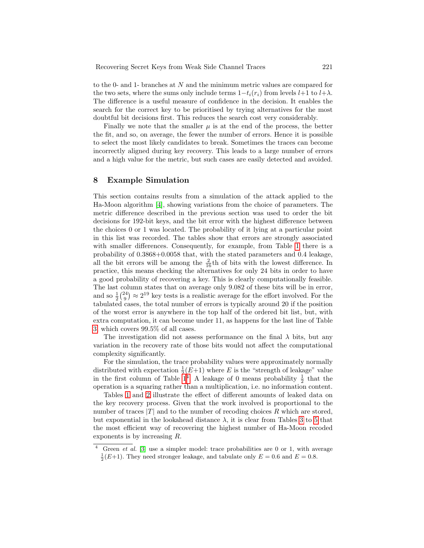to the 0- and 1- branches at N and the minimum metric values are compared for the two sets, where the sums only include terms  $1-t_i(r_i)$  from levels  $l+1$  to  $l+\lambda$ . The difference is a useful measure of confidence in the decision. It enables the search for the correct key to be prioritised by trying alternatives for the most doubtful bit decisions first. This reduces the search cost very considerably.

Finally we note that the smaller  $\mu$  is at the end of the process, the better the fit, and so, on average, the fewer the number of errors. Hence it is possible to select the most likely candidates to break. Sometimes the traces can become incorrectly aligned during key recovery. This leads to a large number of errors and a high value for the metric, but such cases are easily detected and avoided.

## 8 Example Simulation

This section contains results from a simulation of the attack applied to the Ha-Moon algorithm [\[4\]](#page-11-0), showing variations from the choice of parameters. The metric difference described in the previous section was used to order the bit decisions for 192-bit keys, and the bit error with the highest difference between the choices 0 or 1 was located. The probability of it lying at a particular point in this list was recorded. The tables show that errors are strongly associated with smaller differences. Consequently, for example, from Table [1](#page-8-0) there is a probability of 0.3868+0.0058 that, with the stated parameters and 0.4 leakage, all the bit errors will be among the  $\frac{2}{16}$ th of bits with the lowest difference. In practice, this means checking the alternatives for only 24 bits in order to have a good probability of recovering a key. This is clearly computationally feasible. The last column states that on average only 9.082 of these bits will be in error, and so  $\frac{1}{2} \binom{24}{9} \approx 2^{19}$  key tests is a realistic average for the effort involved. For the tabulated cases, the total number of errors is typically around 20 if the position of the worst error is anywhere in the top half of the ordered bit list, but, with extra computation, it can become under 11, as happens for the last line of Table [3,](#page-9-0) which covers 99.5% of all cases.

The investigation did not assess performance on the final  $\lambda$  bits, but any variation in the recovery rate of those bits would not affect the computational complexity significantly.

For the simulation, the trace probability values were approximately normally distributed with expectation  $\frac{1}{2}(E+1)$  where E is the "strength of leakage" value in the first column of Table  $1^4$  $1^4$ . A leakage of 0 means probability  $\frac{1}{2}$  that the operation is a squaring rather than a multiplication, i.e. no information content.

Tables [1](#page-8-0) and [2](#page-8-1) illustrate the effect of different amounts of leaked data on the key recovery process. Given that the work involved is proportional to the number of traces  $|T|$  and to the number of recoding choices R which are stored, but exponential in the lookahead distance  $\lambda$ , it is clear from Tables [3](#page-9-0) to [5](#page-10-2) that the most efficient way of recovering the highest number of Ha-Moon recoded exponents is by increasing R.

<span id="page-7-0"></span> $4$  Green *et al.* [\[3\]](#page-11-7) use a simpler model: trace probabilities are 0 or 1, with average  $\frac{1}{2}(E+1)$ . They need stronger leakage, and tabulate only  $E = 0.6$  and  $E = 0.8$ .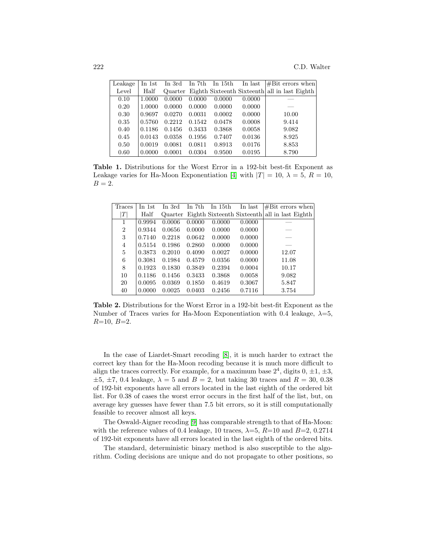| Leakage | In 1st |        |        | In 3rd In 7th In 15th In last |        | $ \# \text{Bit errors when} $                         |
|---------|--------|--------|--------|-------------------------------|--------|-------------------------------------------------------|
| Level   | Half   |        |        |                               |        | Quarter Eighth Sixteenth Sixteenth all in last Eighth |
| 0.10    | 1.0000 | 0.0000 | 0.0000 | 0.0000                        | 0.0000 |                                                       |
| 0.20    | 1.0000 | 0.0000 | 0.0000 | 0.0000                        | 0.0000 |                                                       |
| 0.30    | 0.9697 | 0.0270 | 0.0031 | 0.0002                        | 0.0000 | 10.00                                                 |
| 0.35    | 0.5760 | 0.2212 | 0.1542 | 0.0478                        | 0.0008 | 9.414                                                 |
| 0.40    | 0.1186 | 0.1456 | 0.3433 | 0.3868                        | 0.0058 | 9.082                                                 |
| 0.45    | 0.0143 | 0.0358 | 0.1956 | 0.7407                        | 0.0136 | 8.925                                                 |
| 0.50    | 0.0019 | 0.0081 | 0.0811 | 0.8913                        | 0.0176 | 8.853                                                 |
| 0.60    | 0.0000 | 0.0001 | 0.0304 | 0.9500                        | 0.0195 | 8.790                                                 |

<span id="page-8-0"></span>Table 1. Distributions for the Worst Error in a 192-bit best-fit Exponent as Leakage varies for Ha-Moon Exponentiation [\[4\]](#page-11-0) with  $|T| = 10$ ,  $\lambda = 5$ ,  $R = 10$ ,  $B=2.$ 

| <b>Traces</b>             | In 1st | In 3rd | In 7th | In 15th | In last | $#Bit$ errors when                                    |
|---------------------------|--------|--------|--------|---------|---------|-------------------------------------------------------|
| $\left\vert T\right\vert$ | Half   |        |        |         |         | Quarter Eighth Sixteenth Sixteenth all in last Eighth |
| 1                         | 0.9994 | 0.0006 | 0.0000 | 0.0000  | 0.0000  |                                                       |
| $\overline{2}$            | 0.9344 | 0.0656 | 0.0000 | 0.0000  | 0.0000  |                                                       |
| 3                         | 0.7140 | 0.2218 | 0.0642 | 0.0000  | 0.0000  |                                                       |
| 4                         | 0.5154 | 0.1986 | 0.2860 | 0.0000  | 0.0000  |                                                       |
| 5                         | 0.3873 | 0.2010 | 0.4090 | 0.0027  | 0.0000  | 12.07                                                 |
| 6                         | 0.3081 | 0.1984 | 0.4579 | 0.0356  | 0.0000  | 11.08                                                 |
| 8                         | 0.1923 | 0.1830 | 0.3849 | 0.2394  | 0.0004  | 10.17                                                 |
| 10                        | 0.1186 | 0.1456 | 0.3433 | 0.3868  | 0.0058  | 9.082                                                 |
| 20                        | 0.0095 | 0.0369 | 0.1850 | 0.4619  | 0.3067  | 5.847                                                 |
| 40                        | 0.0000 | 0.0025 | 0.0403 | 0.2456  | 0.7116  | 3.754                                                 |
|                           |        |        |        |         |         |                                                       |

<span id="page-8-1"></span>Table 2. Distributions for the Worst Error in a 192-bit best-fit Exponent as the Number of Traces varies for Ha-Moon Exponentiation with 0.4 leakage,  $\lambda=5$ ,  $R=10, B=2.$ 

In the case of Liardet-Smart recoding [\[8\]](#page-11-1), it is much harder to extract the correct key than for the Ha-Moon recoding because it is much more difficult to align the traces correctly. For example, for a maximum base  $2^4$ , digits  $0, \pm 1, \pm 3,$  $\pm 5$ ,  $\pm 7$ , 0.4 leakage,  $\lambda = 5$  and  $B = 2$ , but taking 30 traces and  $R = 30$ , 0.38 of 192-bit exponents have all errors located in the last eighth of the ordered bit list. For 0.38 of cases the worst error occurs in the first half of the list, but, on average key guesses have fewer than 7.5 bit errors, so it is still computationally feasible to recover almost all keys.

The Oswald-Aigner recoding [\[9\]](#page-11-2) has comparable strength to that of Ha-Moon: with the reference values of 0.4 leakage, 10 traces,  $\lambda=5$ ,  $R=10$  and  $B=2$ , 0.2714 of 192-bit exponents have all errors located in the last eighth of the ordered bits.

The standard, deterministic binary method is also susceptible to the algorithm. Coding decisions are unique and do not propagate to other positions, so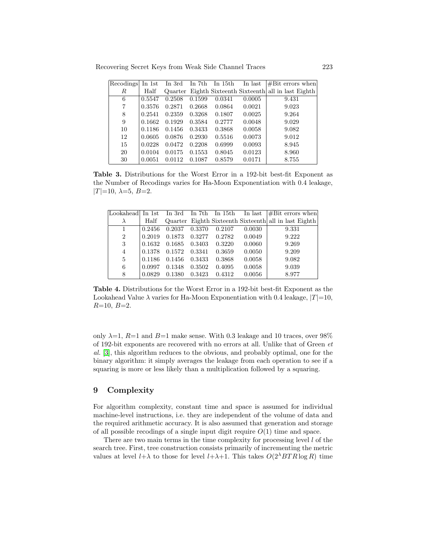Recovering Secret Keys from Weak Side Channel Traces 223

| Recodings      | In 1st |        |        | In 3rd In 7th In 15th | In last | $\# \text{Bit errors when}$                           |
|----------------|--------|--------|--------|-----------------------|---------|-------------------------------------------------------|
| R              | Half   |        |        |                       |         | Quarter Eighth Sixteenth Sixteenth all in last Eighth |
| 6              | 0.5547 | 0.2508 | 0.1599 | 0.0341                | 0.0005  | 9.431                                                 |
| $\overline{7}$ | 0.3576 | 0.2871 | 0.2668 | 0.0864                | 0.0021  | 9.023                                                 |
| 8              | 0.2541 | 0.2359 | 0.3268 | 0.1807                | 0.0025  | 9.264                                                 |
| 9              | 0.1662 | 0.1929 | 0.3584 | 0.2777                | 0.0048  | 9.029                                                 |
| 10             | 0.1186 | 0.1456 | 0.3433 | 0.3868                | 0.0058  | 9.082                                                 |
| 12             | 0.0605 | 0.0876 | 0.2930 | 0.5516                | 0.0073  | 9.012                                                 |
| 15             | 0.0228 | 0.0472 | 0.2208 | 0.6999                | 0.0093  | 8.945                                                 |
| 20             | 0.0104 | 0.0175 | 0.1553 | 0.8045                | 0.0123  | 8.960                                                 |
| 30             | 0.0051 | 0.0112 | 0.1087 | 0.8579                | 0.0171  | 8.755                                                 |

<span id="page-9-0"></span>Table 3. Distributions for the Worst Error in a 192-bit best-fit Exponent as the Number of Recodings varies for Ha-Moon Exponentiation with 0.4 leakage,  $|T|=10, \lambda=5, B=2.$ 

|                |        |        |        |        |        | Lookahead In 1st In 3rd In 7th In 15th In last $#Bit$ errors when |
|----------------|--------|--------|--------|--------|--------|-------------------------------------------------------------------|
| $\lambda$      | Half   |        |        |        |        | Quarter Eighth Sixteenth Sixteenth all in last Eighth             |
| 1              | 0.2456 | 0.2037 | 0.3370 | 0.2107 | 0.0030 | 9.331                                                             |
| $\overline{2}$ | 0.2019 | 0.1873 | 0.3277 | 0.2782 | 0.0049 | 9.222                                                             |
| 3              | 0.1632 | 0.1685 | 0.3403 | 0.3220 | 0.0060 | 9.269                                                             |
| 4              | 0.1378 | 0.1572 | 0.3341 | 0.3659 | 0.0050 | 9.209                                                             |
| 5              | 0.1186 | 0.1456 | 0.3433 | 0.3868 | 0.0058 | 9.082                                                             |
| 6              | 0.0997 | 0.1348 | 0.3502 | 0.4095 | 0.0058 | 9.039                                                             |
| 8              | 0.0829 | 0.1380 | 0.3423 | 0.4312 | 0.0056 | 8.977                                                             |

Table 4. Distributions for the Worst Error in a 192-bit best-fit Exponent as the Lookahead Value  $\lambda$  varies for Ha-Moon Exponentiation with 0.4 leakage,  $|T|=10$ ,  $R=10, B=2.$ 

only  $\lambda=1$ ,  $R=1$  and  $B=1$  make sense. With 0.3 leakage and 10 traces, over 98% of 192-bit exponents are recovered with no errors at all. Unlike that of Green  $\emph{et}$ al. [\[3\]](#page-11-7), this algorithm reduces to the obvious, and probably optimal, one for the binary algorithm: it simply averages the leakage from each operation to see if a squaring is more or less likely than a multiplication followed by a squaring.

#### 9 Complexity

For algorithm complexity, constant time and space is assumed for individual machine-level instructions, i.e. they are independent of the volume of data and the required arithmetic accuracy. It is also assumed that generation and storage of all possible recodings of a single input digit require  $O(1)$  time and space.

There are two main terms in the time complexity for processing level  $l$  of the search tree. First, tree construction consists primarily of incrementing the metric values at level  $l+\lambda$  to those for level  $l+\lambda+1$ . This takes  $O(2^{\lambda}BTR\log R)$  time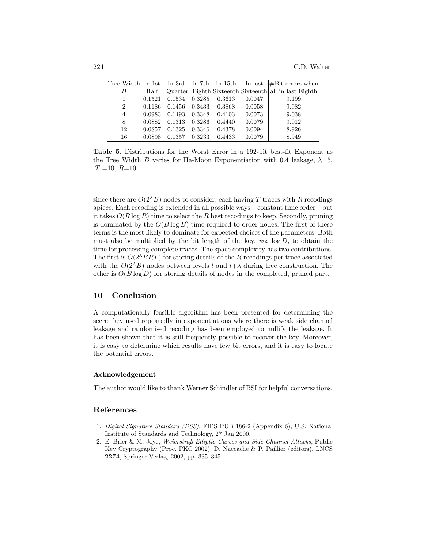|                |        |               |        |        |        | Tree Width In 1st In 3rd In 7th In 15th In last  #Bit errors when |
|----------------|--------|---------------|--------|--------|--------|-------------------------------------------------------------------|
| В              | Half   |               |        |        |        | Quarter Eighth Sixteenth Sixteenth all in last Eighth             |
| 1              | 0.1521 | 0.1534 0.3285 |        | 0.3613 | 0.0047 | 9.199                                                             |
| $\overline{2}$ | 0.1186 | 0.1456        | 0.3433 | 0.3868 | 0.0058 | 9.082                                                             |
| 4              | 0.0983 | 0.1493        | 0.3348 | 0.4103 | 0.0073 | 9.038                                                             |
| 8              | 0.0882 | 0.1313        | 0.3286 | 0.4440 | 0.0079 | 9.012                                                             |
| 12             | 0.0857 | 0.1325        | 0.3346 | 0.4378 | 0.0094 | 8.926                                                             |
| 16             | 0.0898 | 0.1357        | 0.3233 | 0.4433 | 0.0079 | 8.949                                                             |

<span id="page-10-2"></span>Table 5. Distributions for the Worst Error in a 192-bit best-fit Exponent as the Tree Width B varies for Ha-Moon Exponentiation with 0.4 leakage,  $\lambda=5$ ,  $|T|=10, R=10.$ 

since there are  $O(2^{\lambda}B)$  nodes to consider, each having T traces with R recodings apiece. Each recoding is extended in all possible ways – constant time order – but it takes  $O(R \log R)$  time to select the R best recodings to keep. Secondly, pruning is dominated by the  $O(B \log B)$  time required to order nodes. The first of these terms is the most likely to dominate for expected choices of the parameters. Both must also be multiplied by the bit length of the key,  $viz$ ,  $\log D$ , to obtain the time for processing complete traces. The space complexity has two contributions. The first is  $O(2^{\lambda}BRT)$  for storing details of the R recodings per trace associated with the  $O(2^{\lambda}B)$  nodes between levels l and  $l+\lambda$  during tree construction. The other is  $O(B \log D)$  for storing details of nodes in the completed, pruned part.

#### 10 Conclusion

A computationally feasible algorithm has been presented for determining the secret key used repeatedly in exponentiations where there is weak side channel leakage and randomised recoding has been employed to nullify the leakage. It has been shown that it is still frequently possible to recover the key. Moreover, it is easy to determine which results have few bit errors, and it is easy to locate the potential errors.

#### Acknowledgement

The author would like to thank Werner Schindler of BSI for helpful conversations.

#### References

- <span id="page-10-1"></span>1. Digital Signature Standard (DSS), FIPS PUB 186-2 (Appendix 6), U.S. National Institute of Standards and Technology, 27 Jan 2000.
- <span id="page-10-0"></span>2. E. Brier & M. Joye, Weierstraß Elliptic Curves and Side-Channel Attacks, Public Key Cryptography (Proc. PKC 2002), D. Naccache & P. Paillier (editors), LNCS 2274, Springer-Verlag, 2002, pp. 335–345.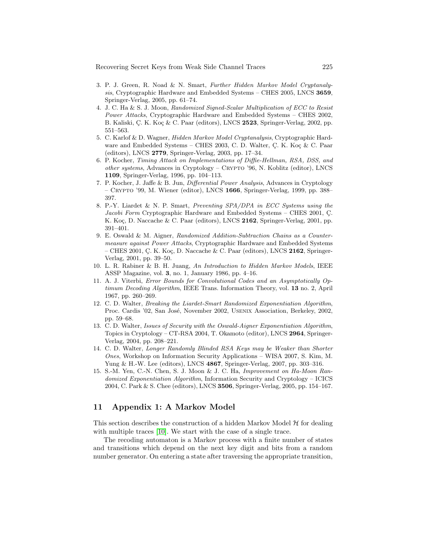- <span id="page-11-7"></span>3. P. J. Green, R. Noad & N. Smart, Further Hidden Markov Model Cryptanalysis, Cryptographic Hardware and Embedded Systems – CHES 2005, LNCS 3659, Springer-Verlag, 2005, pp. 61–74.
- <span id="page-11-0"></span>4. J. C. Ha & S. J. Moon, Randomized Signed-Scalar Multiplication of ECC to Resist Power Attacks, Cryptographic Hardware and Embedded Systems – CHES 2002, B. Kaliski, C. K. Koç  $\&$  C. Paar (editors), LNCS 2523, Springer-Verlag, 2002, pp. 551–563.
- <span id="page-11-6"></span>5. C. Karlof & D. Wagner, Hidden Markov Model Cryptanalysis, Cryptographic Hardware and Embedded Systems – CHES 2003, C. D. Walter, C. K. Koç & C. Paar (editors), LNCS 2779, Springer-Verlag, 2003, pp. 17–34.
- <span id="page-11-8"></span>6. P. Kocher, Timing Attack on Implementations of Diffie-Hellman, RSA, DSS, and other systems, Advances in Cryptology – CRYPTO '96, N. Koblitz (editor), LNCS 1109, Springer-Verlag, 1996, pp. 104–113.
- <span id="page-11-9"></span>7. P. Kocher, J. Jaffe & B. Jun, Differential Power Analysis, Advances in Cryptology – CRYPTO '99, M. Wiener (editor), LNCS  $1666$ , Springer-Verlag, 1999, pp. 388– 397.
- <span id="page-11-1"></span>8. P.-Y. Liardet & N. P. Smart, Preventing SPA/DPA in ECC Systems using the Jacobi Form Cryptographic Hardware and Embedded Systems – CHES 2001, Ç. K. Koç, D. Naccache & C. Paar (editors), LNCS  $2162$ , Springer-Verlag, 2001, pp. 391–401.
- <span id="page-11-2"></span>9. E. Oswald & M. Aigner, Randomized Addition-Subtraction Chains as a Countermeasure against Power Attacks, Cryptographic Hardware and Embedded Systems – CHES 2001, C. K. Koç, D. Naccache & C. Paar (editors), LNCS 2162, Springer-Verlag, 2001, pp. 39–50.
- <span id="page-11-10"></span>10. L. R. Rabiner & B. H. Juang, An Introduction to Hidden Markov Models, IEEE ASSP Magazine, vol. 3, no. 1, January 1986, pp. 4–16.
- <span id="page-11-11"></span>11. A. J. Viterbi, Error Bounds for Convolutional Codes and an Asymptotically Optimum Decoding Algorithm, IEEE Trans. Information Theory, vol. 13 no. 2, April 1967, pp. 260–269.
- <span id="page-11-4"></span>12. C. D. Walter, Breaking the Liardet-Smart Randomized Exponentiation Algorithm, Proc. Cardis '02, San José, November 2002, USENIX Association, Berkeley, 2002, pp. 59–68.
- <span id="page-11-5"></span>13. C. D. Walter, Issues of Security with the Oswald-Aigner Exponentiation Algorithm, Topics in Cryptology – CT-RSA 2004, T. Okamoto (editor), LNCS 2964, Springer-Verlag, 2004, pp. 208–221.
- 14. C. D. Walter, Longer Randomly Blinded RSA Keys may be Weaker than Shorter Ones, Workshop on Information Security Applications – WISA 2007, S. Kim, M. Yung & H.-W. Lee (editors), LNCS 4867, Springer-Verlag, 2007, pp. 303–316.
- <span id="page-11-3"></span>15. S.-M. Yen, C.-N. Chen, S. J. Moon & J. C. Ha, Improvement on Ha-Moon Randomized Exponentiation Algorithm, Information Security and Cryptology – ICICS 2004, C. Park & S. Chee (editors), LNCS 3506, Springer-Verlag, 2005, pp. 154–167.

# 11 Appendix 1: A Markov Model

This section describes the construction of a hidden Markov Model  $H$  for dealing with multiple traces [\[10\]](#page-11-10). We start with the case of a single trace.

The recoding automaton is a Markov process with a finite number of states and transitions which depend on the next key digit and bits from a random number generator. On entering a state after traversing the appropriate transition,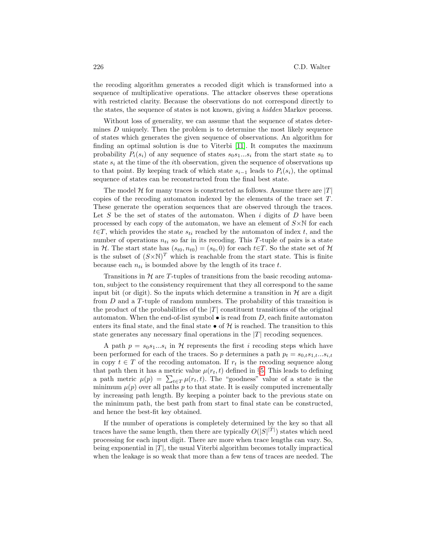the recoding algorithm generates a recoded digit which is transformed into a sequence of multiplicative operations. The attacker observes these operations with restricted clarity. Because the observations do not correspond directly to the states, the sequence of states is not known, giving a hidden Markov process.

Without loss of generality, we can assume that the sequence of states determines D uniquely. Then the problem is to determine the most likely sequence of states which generates the given sequence of observations. An algorithm for finding an optimal solution is due to Viterbi [\[11\]](#page-11-11). It computes the maximum probability  $P_i(s_i)$  of any sequence of states  $s_0s_1...s_i$  from the start state  $s_0$  to state  $s_i$  at the time of the *i*th observation, given the sequence of observations up to that point. By keeping track of which state  $s_{i-1}$  leads to  $P_i(s_i)$ , the optimal sequence of states can be reconstructed from the final best state.

The model  $H$  for many traces is constructed as follows. Assume there are  $|T|$ copies of the recoding automaton indexed by the elements of the trace set T. These generate the operation sequences that are observed through the traces. Let S be the set of states of the automaton. When i digits of D have been processed by each copy of the automaton, we have an element of  $S \times \mathbb{N}$  for each  $t \in T$ , which provides the state  $s_{ti}$  reached by the automaton of index t, and the number of operations  $n_{ti}$  so far in its recoding. This T-tuple of pairs is a state in H. The start state has  $(s_{t0}, n_{t0}) = (s_0, 0)$  for each  $t \in T$ . So the state set of H is the subset of  $(S \times N)^T$  which is reachable from the start state. This is finite because each  $n_{ti}$  is bounded above by the length of its trace t.

Transitions in  $H$  are T-tuples of transitions from the basic recoding automaton, subject to the consistency requirement that they all correspond to the same input bit (or digit). So the inputs which determine a transition in  $H$  are a digit from D and a T-tuple of random numbers. The probability of this transition is the product of the probabilities of the  $|T|$  constituent transitions of the original automaton. When the end-of-list symbol  $\bullet$  is read from D, each finite automaton enters its final state, and the final state  $\bullet$  of H is reached. The transition to this state generates any necessary final operations in the  $|T|$  recoding sequences.

A path  $p = s_0 s_1 ... s_i$  in  $H$  represents the first i recoding steps which have been performed for each of the traces. So p determines a path  $p_t = s_{0,t} s_{1,t}...s_{i,t}$ in copy  $t \in T$  of the recoding automaton. If  $r_t$  is the recoding sequence along that path then it has a metric value  $\mu(r_t, t)$  defined in §[5.](#page-3-0) This leads to defining a path metric  $\mu(p) = \sum_{t \in T} \mu(r_t, t)$ . The "goodness" value of a state is the minimum  $\mu(p)$  over all paths p to that state. It is easily computed incrementally by increasing path length. By keeping a pointer back to the previous state on the minimum path, the best path from start to final state can be constructed, and hence the best-fit key obtained.

If the number of operations is completely determined by the key so that all traces have the same length, then there are typically  $O(|S||^{T})$  states which need processing for each input digit. There are more when trace lengths can vary. So, being exponential in  $|T|$ , the usual Viterbi algorithm becomes totally impractical when the leakage is so weak that more than a few tens of traces are needed. The